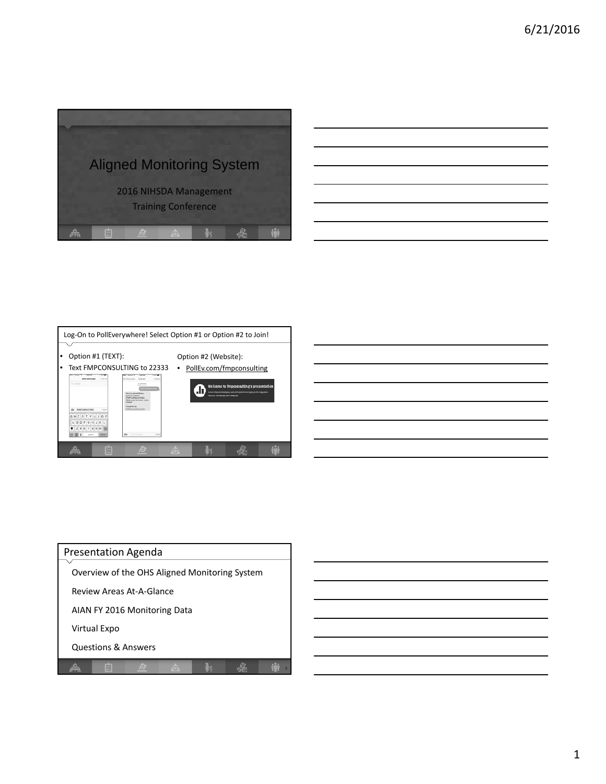

| <u> 1989 - Johann Stoff, deutscher Stoff, der Stoff, der Stoff, der Stoff, der Stoff, der Stoff, der Stoff, der S</u> |  |  |
|-----------------------------------------------------------------------------------------------------------------------|--|--|
|                                                                                                                       |  |  |
| a series and the contract of the contract of the contract of the contract of the contract of the contract of th       |  |  |
|                                                                                                                       |  |  |
| <u> 1989 - Johann Stein, marwolaethau a bhann an t-Amhain an t-Amhain an t-Amhain an t-Amhain an t-Amhain an t-A</u>  |  |  |
|                                                                                                                       |  |  |
| <u> 1989 - Andrea Andrew Maria (h. 1989).</u>                                                                         |  |  |
|                                                                                                                       |  |  |



| <u> Alexandria de la contrada de la contrada de la contrada de la contrada de la contrada de la contrada de la c</u> |  |  |
|----------------------------------------------------------------------------------------------------------------------|--|--|
| <u> 1989 - Andrea Andrew Maria (h. 1989).</u>                                                                        |  |  |
|                                                                                                                      |  |  |
|                                                                                                                      |  |  |
|                                                                                                                      |  |  |

| <b>Presentation Agenda</b>                    |  |  |  |  |  |  |
|-----------------------------------------------|--|--|--|--|--|--|
| Overview of the OHS Aligned Monitoring System |  |  |  |  |  |  |
| Review Areas At-A-Glance                      |  |  |  |  |  |  |
| AIAN FY 2016 Monitoring Data                  |  |  |  |  |  |  |
| Virtual Expo                                  |  |  |  |  |  |  |
| <b>Questions &amp; Answers</b>                |  |  |  |  |  |  |
|                                               |  |  |  |  |  |  |

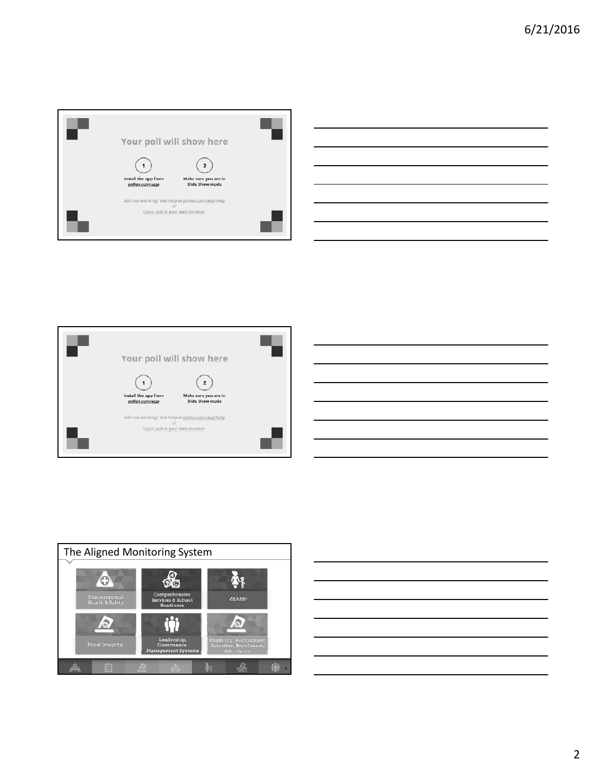

|  |  | ,我们的人们就是一个人的人,我们的人们就是一个人的人,我们的人们就是一个人的人,我们的人们就是一个人的人,我们的人们就是一个人的人,我们的人们的人们,我们也不能<br>第一百一十一章 我们的人们的人们,我们的人们的人们的人们,我们的人们的人们的人们,我们的人们的人们,我们的人们的人们,我们的人们的人们,我们的人们的人们,我们的 |  |
|--|--|----------------------------------------------------------------------------------------------------------------------------------------------------------------------|--|
|  |  |                                                                                                                                                                      |  |
|  |  | <u> 1989 - Johann Stoff, deutscher Stoff, der Stoff, der Stoff, der Stoff, der Stoff, der Stoff, der Stoff, der S</u>                                                |  |
|  |  | <u> 1989 - Andrea Andrew Maria (h. 1989).</u>                                                                                                                        |  |
|  |  | <u> 1989 - Johann Stoff, deutscher Stoff, der Stoff, der Stoff, der Stoff, der Stoff, der Stoff, der Stoff, der S</u>                                                |  |
|  |  | <u> 1989 - Andrea Andrew Maria (h. 1989).</u>                                                                                                                        |  |
|  |  |                                                                                                                                                                      |  |
|  |  |                                                                                                                                                                      |  |

 $\overline{\phantom{a}}$ 





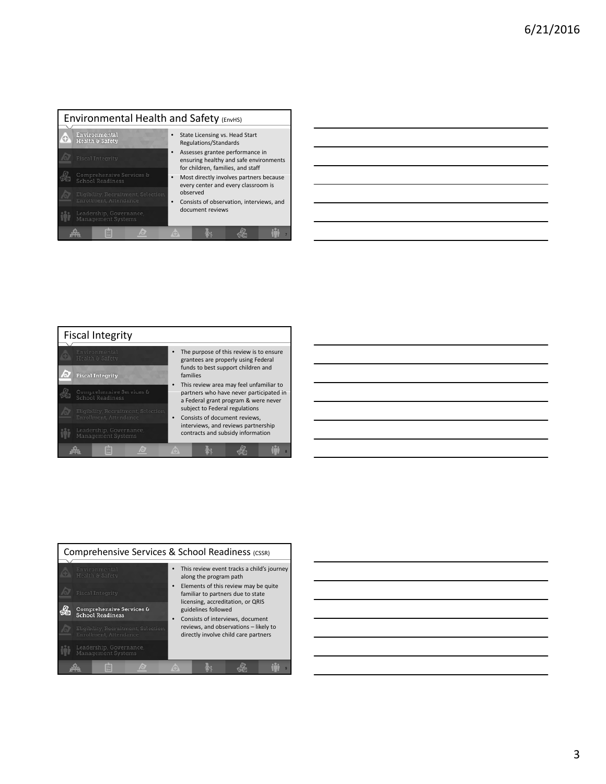| Environmental Health and Safety (EnvHS)                        |                                                                                                                                        |  |                                                         |                                                                                                                |  |  |
|----------------------------------------------------------------|----------------------------------------------------------------------------------------------------------------------------------------|--|---------------------------------------------------------|----------------------------------------------------------------------------------------------------------------|--|--|
| Environmental<br>Health & Safety                               |                                                                                                                                        |  | State Licensing vs. Head Start<br>Regulations/Standards |                                                                                                                |  |  |
| <b>Fiscal Integrity</b>                                        |                                                                                                                                        |  |                                                         | Assesses grantee performance in<br>ensuring healthy and safe environments<br>for children, families, and staff |  |  |
| Comprehensive Services &<br>School Readiness                   | Most directly involves partners because<br>every center and every classroom is<br>observed<br>Consists of observation, interviews, and |  |                                                         |                                                                                                                |  |  |
| Eligibility, Recruitment, Selection,<br>Enrollment, Attendance |                                                                                                                                        |  |                                                         |                                                                                                                |  |  |
| Leadership, Governance,<br>Management Systems                  |                                                                                                                                        |  | document reviews                                        |                                                                                                                |  |  |
|                                                                |                                                                                                                                        |  |                                                         |                                                                                                                |  |  |

| <u>state and the state of the state of the state of the state of the state of the state of the state of the state of the state of the state of the state of the state of the state of the state of the state of the state of the</u> |  |
|--------------------------------------------------------------------------------------------------------------------------------------------------------------------------------------------------------------------------------------|--|
|                                                                                                                                                                                                                                      |  |
| the control of the control of the control of the control of the control of the control of the control of the control of the control of the control of the control of the control of the control of the control of the control        |  |
|                                                                                                                                                                                                                                      |  |
|                                                                                                                                                                                                                                      |  |
|                                                                                                                                                                                                                                      |  |
|                                                                                                                                                                                                                                      |  |





| Comprehensive Services & School Readiness (CSSR)               |                                                                                                                                                                               |  |  |  |  |  |  |
|----------------------------------------------------------------|-------------------------------------------------------------------------------------------------------------------------------------------------------------------------------|--|--|--|--|--|--|
| Environmental<br>Health & Safety<br><b>Fiscal Integrity</b>    | This review event tracks a child's journey<br>along the program path<br>Elements of this review may be quite<br>familiar to partners due to state                             |  |  |  |  |  |  |
| Comprehensive Services &<br><b>School Readiness</b>            | licensing, accreditation, or QRIS<br>guidelines followed<br>Consists of interviews, document<br>reviews, and observations - likely to<br>directly involve child care partners |  |  |  |  |  |  |
| Eligibility, Recruitment, Selection,<br>Enrollment, Attendance |                                                                                                                                                                               |  |  |  |  |  |  |
| Leadership, Governance,<br>Management Systems                  |                                                                                                                                                                               |  |  |  |  |  |  |
|                                                                |                                                                                                                                                                               |  |  |  |  |  |  |

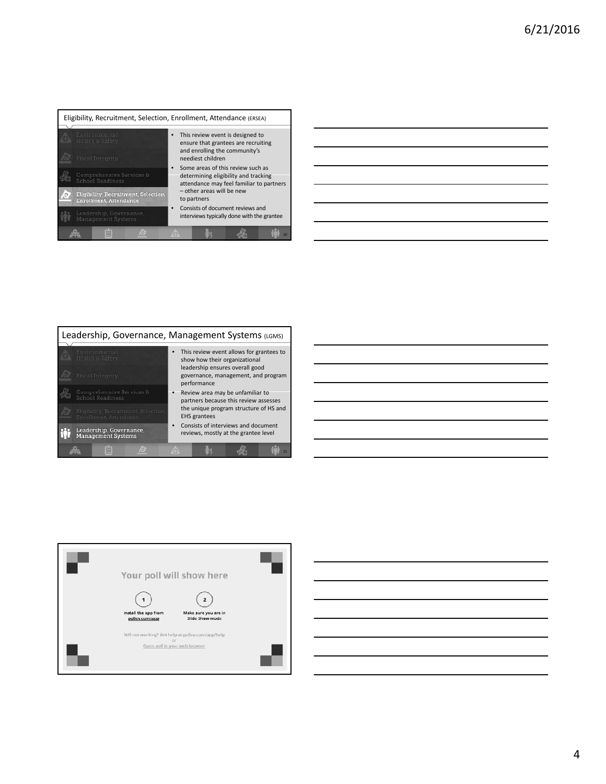|                                               | Eligibility, Recruitment, Selection, Enrollment, Attendance (ERSEA)   |                                                                                                                                                                   |  |  |  |  |  |
|-----------------------------------------------|-----------------------------------------------------------------------|-------------------------------------------------------------------------------------------------------------------------------------------------------------------|--|--|--|--|--|
|                                               | Environmental<br>Health & Safety                                      | This review event is designed to<br>ensure that grantees are recruiting                                                                                           |  |  |  |  |  |
|                                               | <b>Fiscal Integrity</b>                                               | and enrolling the community's<br>neediest children                                                                                                                |  |  |  |  |  |
|                                               | Comprehensive Services &<br>School Readiness                          | Some areas of this review such as<br>determining eligibility and tracking<br>attendance may feel familiar to partners<br>- other areas will be new<br>to partners |  |  |  |  |  |
|                                               | Eligibility, Recruitment, Selection,<br><b>Enrollment, Attendance</b> |                                                                                                                                                                   |  |  |  |  |  |
| Leadership, Governance,<br>Management Systems |                                                                       | Consists of document reviews and<br>interviews typically done with the grantee                                                                                    |  |  |  |  |  |
|                                               |                                                                       |                                                                                                                                                                   |  |  |  |  |  |

| <u> 1989 - Andrea Andrew Maria (h. 1989).</u>                                                                          |  |  |
|------------------------------------------------------------------------------------------------------------------------|--|--|
|                                                                                                                        |  |  |
|                                                                                                                        |  |  |
|                                                                                                                        |  |  |
| <u> 1989 - Johann Barn, mars ann an t-Amhainn an t-Amhainn an t-Amhainn an t-Amhainn an t-Amhainn an t-Amhainn an </u> |  |  |
|                                                                                                                        |  |  |
|                                                                                                                        |  |  |
|                                                                                                                        |  |  |
|                                                                                                                        |  |  |
| <u> 1989 - Andrea Andrew Maria (h. 1989).</u>                                                                          |  |  |
|                                                                                                                        |  |  |
|                                                                                                                        |  |  |
|                                                                                                                        |  |  |
| <u> 1989 - Andrea Andrew Maria (h. 1989).</u>                                                                          |  |  |
|                                                                                                                        |  |  |
|                                                                                                                        |  |  |
|                                                                                                                        |  |  |
|                                                                                                                        |  |  |
| <u> 1989 - Andrea Andrew Maria (h. 1989).</u>                                                                          |  |  |
|                                                                                                                        |  |  |
|                                                                                                                        |  |  |
|                                                                                                                        |  |  |
|                                                                                                                        |  |  |
| <u> 1989 - Johann Barn, mars and de Brazilian (b. 1989)</u>                                                            |  |  |





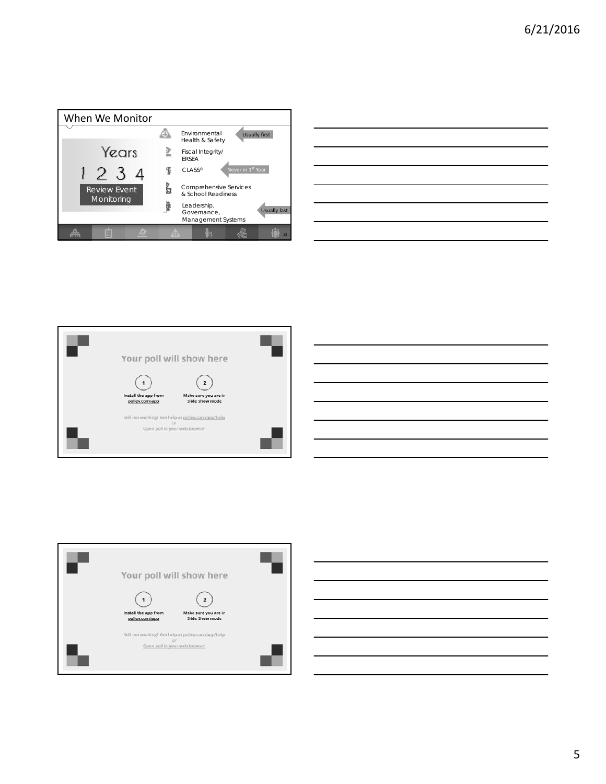

| <u> Alexandro de la contrada de la contrada de la contrada de la contrada de la contrada de la contrada de la con</u> |  |         |
|-----------------------------------------------------------------------------------------------------------------------|--|---------|
|                                                                                                                       |  | ______  |
|                                                                                                                       |  |         |
| <u> Alexandro de la contrada de la contrada de la contrada de la contrada de la contrada de la contrada de la con</u> |  | _______ |
|                                                                                                                       |  |         |
|                                                                                                                       |  |         |





5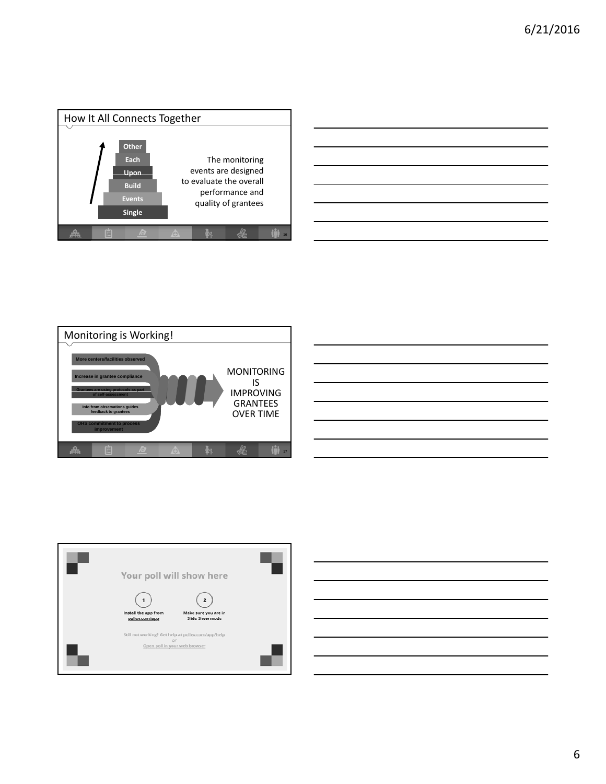







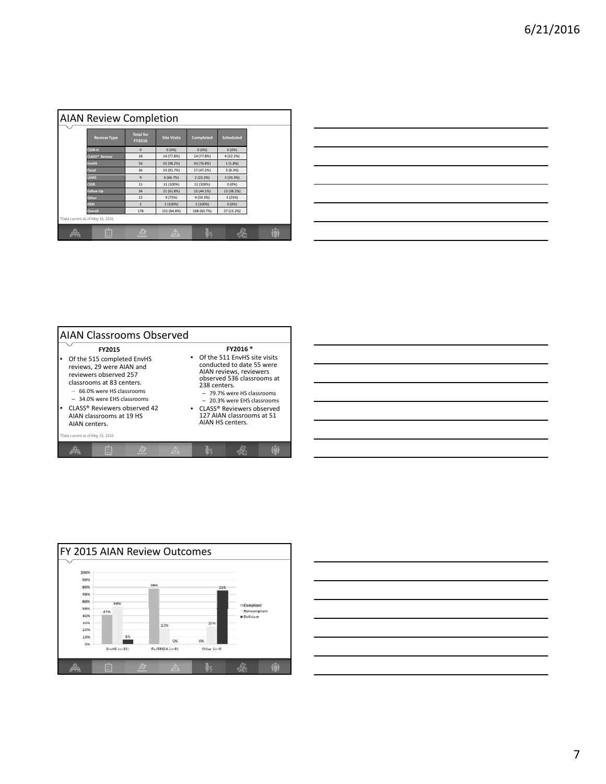| <b>AIAN Review Completion</b> |                                  |                            |                    |             |                  |  |  |  |
|-------------------------------|----------------------------------|----------------------------|--------------------|-------------|------------------|--|--|--|
|                               | <b>Review Type</b>               | <b>Total for</b><br>FY2016 | <b>Site Visits</b> | Completed   | <b>Scheduled</b> |  |  |  |
|                               | <b>CSSR-H</b>                    | $\mathbf{0}$               | 0(0%               | 0(0%        | 0(0%             |  |  |  |
|                               | <b>CLASS® Review</b>             | 18                         | 14 (77.8%)         | 14 (77.8%)  | 4 (22.2%)        |  |  |  |
|                               | <b>EnvHS</b>                     | 56                         | 55 (98.2%)         | 43 (76.8%)  | 1(1.8%)          |  |  |  |
|                               | <b>Fiscal</b>                    | 36                         | 33 (91.7%)         | 17 (47.2%)  | 3(8.3%)          |  |  |  |
|                               | LGMS                             | $\mathbf{q}$               | 6 (66.7%)          | 2(22.2%)    | 3 (33.3%)        |  |  |  |
|                               | <b>CSSR</b>                      | 11                         | 11 (100%)          | 11 (100%)   | 0(0%             |  |  |  |
|                               | <b>Follow Up</b>                 | 34                         | 21 (61.8%)         | 15 (44.1%)  | 13 (38.2%)       |  |  |  |
|                               | Other                            | 12                         | 9 (75%)            | 4 (33.3%)   | 3(25%)           |  |  |  |
|                               | <b>HSKI</b>                      | $\overline{2}$             | 2 (100%)           | 2 (100%)    | 0(0%             |  |  |  |
|                               | Overall                          | 178                        | 151 (84.8%)        | 108 (60.7%) | 27 (15.2%)       |  |  |  |
|                               | *Data current as of May 31, 2016 |                            |                    |             |                  |  |  |  |
| oma.                          | e                                | m                          | Θ                  |             |                  |  |  |  |

| the contract of the contract of the contract of |  |  |  |
|-------------------------------------------------|--|--|--|
|                                                 |  |  |  |
|                                                 |  |  |  |
|                                                 |  |  |  |
|                                                 |  |  |  |
|                                                 |  |  |  |
|                                                 |  |  |  |
|                                                 |  |  |  |





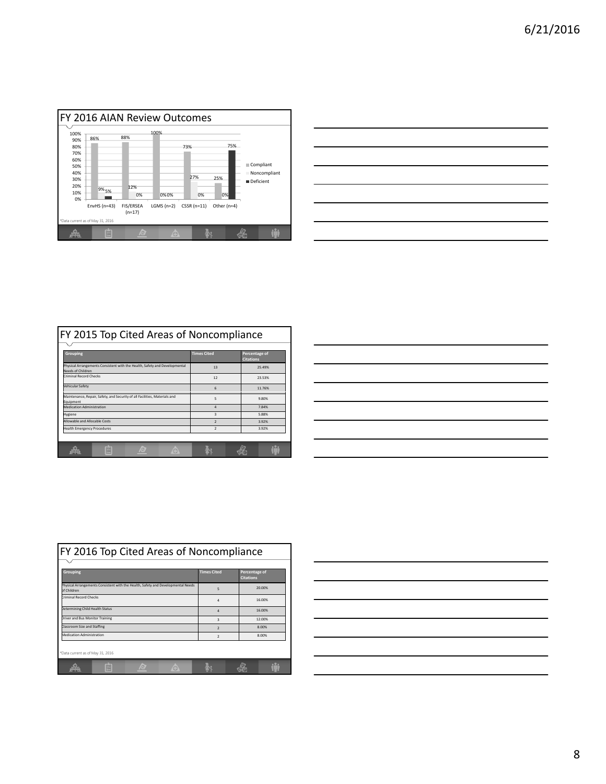

|                                                                                                                      |  | <u> a shekara ta 1999 a shekara ta 1999 a shekara ta 1999 a shekara ta 1999 a shekara ta 1999 a shekara ta 1999 a shekara ta 1999 a shekara ta 1999 a shekara ta 1999 a shekara ta 1999 a shekara ta 1999 a shekara ta 1999 a sh</u> |
|----------------------------------------------------------------------------------------------------------------------|--|--------------------------------------------------------------------------------------------------------------------------------------------------------------------------------------------------------------------------------------|
| <u> Alexandro de la contrada de la contrada de la contrada de la contrada de la contrada de la contrada de la co</u> |  |                                                                                                                                                                                                                                      |
| <u> Alexandro de la contrada de la contrada de la contrada de la contrada de la contrada de la contrada de la co</u> |  |                                                                                                                                                                                                                                      |
|                                                                                                                      |  |                                                                                                                                                                                                                                      |
|                                                                                                                      |  |                                                                                                                                                                                                                                      |
|                                                                                                                      |  |                                                                                                                                                                                                                                      |

| FY 2015 Top Cited Areas of Noncompliance                                                               |                    |                                   |
|--------------------------------------------------------------------------------------------------------|--------------------|-----------------------------------|
| <b>Grouping</b>                                                                                        | <b>Times Cited</b> | Percentage of<br><b>Citations</b> |
| Physical Arrangements Consistent with the Health, Safety and Developmental<br><b>Needs of Children</b> | 13                 | 25.49%                            |
| <b>Criminal Record Checks</b>                                                                          | 12                 | 23.53%                            |
| Vehicular Safety                                                                                       | 6                  | 11.76%                            |
| Maintenance, Repair, Safety, and Security of all Facilities, Materials and<br>Equipment                | 5                  | 9.80%                             |
| <b>Medication Administration</b>                                                                       | $\Delta$           | 7.84%                             |
| Hygiene                                                                                                | R                  | 5.88%                             |
| Allowable and Allocable Costs                                                                          | $\mathcal{P}$      | 3.92%                             |
| <b>Health Emergency Procedures</b>                                                                     | $\mathcal{P}$      | 3.92%                             |
|                                                                                                        |                    |                                   |
|                                                                                                        |                    |                                   |

|  | ___ |  |
|--|-----|--|
|  |     |  |
|  |     |  |
|  |     |  |
|  |     |  |
|  |     |  |

| FY 2016 Top Cited Areas of Noncompliance                                                        |                         |                                   |        |  |  |  |
|-------------------------------------------------------------------------------------------------|-------------------------|-----------------------------------|--------|--|--|--|
|                                                                                                 |                         |                                   |        |  |  |  |
| <b>Grouping</b>                                                                                 | <b>Times Cited</b>      | Percentage of<br><b>Citations</b> |        |  |  |  |
| Physical Arrangements Consistent with the Health, Safety and Developmental Needs<br>of Children | 5                       |                                   | 20.00% |  |  |  |
| <b>Criminal Record Checks</b>                                                                   | 4                       |                                   | 16.00% |  |  |  |
| Determining Child Health Status                                                                 | 4                       |                                   | 16.00% |  |  |  |
| <b>Driver and Bus Monitor Training</b>                                                          | $\overline{\mathbf{3}}$ |                                   | 12.00% |  |  |  |
| <b>Classroom Size and Staffing</b>                                                              | $\mathcal{P}$           |                                   | 8.00%  |  |  |  |
| <b>Medication Administration</b>                                                                | $\overline{2}$          |                                   | 8.00%  |  |  |  |
| *Data current as of May 31, 2016                                                                |                         |                                   |        |  |  |  |
| m                                                                                               |                         |                                   |        |  |  |  |

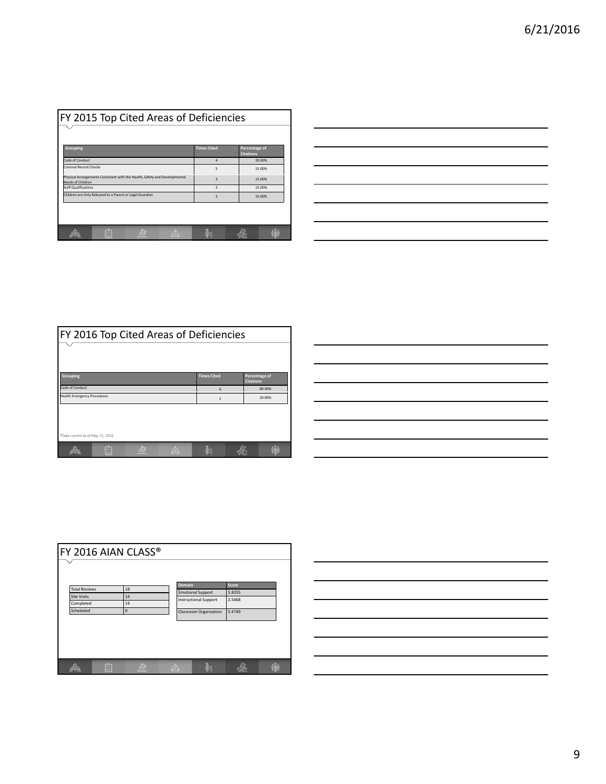| <b>FY 2015 Top Cited Areas of Deficiencies</b>                                                         |                         |                                   |  |  |  |
|--------------------------------------------------------------------------------------------------------|-------------------------|-----------------------------------|--|--|--|
| Grouping                                                                                               | <b>Times Cited</b>      | Percentage of<br><b>Citations</b> |  |  |  |
| Code of Conduct                                                                                        | $\Delta$                | 20.00%                            |  |  |  |
| Criminal Record Checks                                                                                 | $\overline{\mathbf{3}}$ | 15.00%                            |  |  |  |
| Physical Arrangements Consistent with the Health, Safety and Developmental<br><b>Needs of Children</b> | $\overline{\mathbf{3}}$ | 15.00%                            |  |  |  |
| <b>Staff Qualifications</b>                                                                            | $\mathbf{R}$            | 15.00%                            |  |  |  |
| Children are Only Released to a Parent or Legal Guardian                                               | $\mathcal{P}$           | 10.00%                            |  |  |  |
|                                                                                                        |                         |                                   |  |  |  |
|                                                                                                        |                         |                                   |  |  |  |
| z<br><b>SETTS</b>                                                                                      |                         |                                   |  |  |  |

| $\overline{\phantom{a}}$                                                                                                 |  |  |
|--------------------------------------------------------------------------------------------------------------------------|--|--|
|                                                                                                                          |  |  |
|                                                                                                                          |  |  |
|                                                                                                                          |  |  |
| <u>successive and the second control of the second control of the second control of the second control of the second</u> |  |  |
| <u> 1989 - Andrea Andrew Maria Andrew Maria Andrew Maria Andrew Maria Andrew Maria Andrew Maria Andrew Maria Andr</u>    |  |  |
|                                                                                                                          |  |  |
| ,我们也不会不会不会不会不会不会不会不会不会不会不会不会不会不会不会。""我们的是我们的 <sub>是</sub> ,我们的是我们的是我们的,我们也不会不会不会不会不会不会不会不会不会。                            |  |  |

| FY 2016 Top Cited Areas of Deficiencies |                    |                                   |  |  |  |  |
|-----------------------------------------|--------------------|-----------------------------------|--|--|--|--|
|                                         |                    |                                   |  |  |  |  |
|                                         |                    |                                   |  |  |  |  |
| <b>Grouping</b>                         | <b>Times Cited</b> | Percentage of<br><b>Citations</b> |  |  |  |  |
| Code of Conduct                         | 4                  | 80.00%                            |  |  |  |  |
| <b>Health Emergency Procedures</b>      | $\mathbf{1}$       | 20.00%                            |  |  |  |  |
|                                         |                    |                                   |  |  |  |  |
|                                         |                    |                                   |  |  |  |  |
|                                         |                    |                                   |  |  |  |  |
| *Data current as of May 31, 2016        |                    |                                   |  |  |  |  |
|                                         |                    |                                   |  |  |  |  |

| the control of the control of the control of the control of the control of the control of |  |  |
|-------------------------------------------------------------------------------------------|--|--|